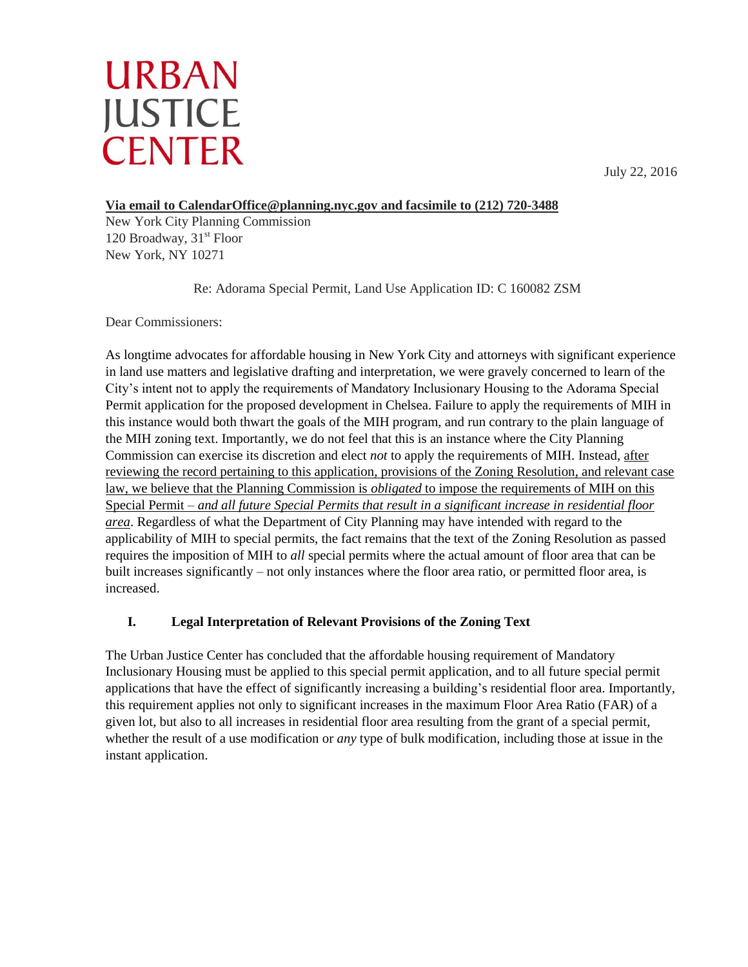# **URBAN JUSTICE CENTER**

July 22, 2016

## **Via email to CalendarOffice@planning.nyc.gov and facsimile to (212) 720-3488**

New York City Planning Commission 120 Broadway,  $31<sup>st</sup>$  Floor New York, NY 10271

Re: Adorama Special Permit, Land Use Application ID: C 160082 ZSM

Dear Commissioners:

As longtime advocates for affordable housing in New York City and attorneys with significant experience in land use matters and legislative drafting and interpretation, we were gravely concerned to learn of the City's intent not to apply the requirements of Mandatory Inclusionary Housing to the Adorama Special Permit application for the proposed development in Chelsea. Failure to apply the requirements of MIH in this instance would both thwart the goals of the MIH program, and run contrary to the plain language of the MIH zoning text. Importantly, we do not feel that this is an instance where the City Planning Commission can exercise its discretion and elect *not* to apply the requirements of MIH. Instead, after reviewing the record pertaining to this application, provisions of the Zoning Resolution, and relevant case law, we believe that the Planning Commission is *obligated* to impose the requirements of MIH on this Special Permit – *and all future Special Permits that result in a significant increase in residential floor area*. Regardless of what the Department of City Planning may have intended with regard to the applicability of MIH to special permits, the fact remains that the text of the Zoning Resolution as passed requires the imposition of MIH to *all* special permits where the actual amount of floor area that can be built increases significantly – not only instances where the floor area ratio, or permitted floor area, is increased.

## **I. Legal Interpretation of Relevant Provisions of the Zoning Text**

The Urban Justice Center has concluded that the affordable housing requirement of Mandatory Inclusionary Housing must be applied to this special permit application, and to all future special permit applications that have the effect of significantly increasing a building's residential floor area. Importantly, this requirement applies not only to significant increases in the maximum Floor Area Ratio (FAR) of a given lot, but also to all increases in residential floor area resulting from the grant of a special permit, whether the result of a use modification or *any* type of bulk modification, including those at issue in the instant application.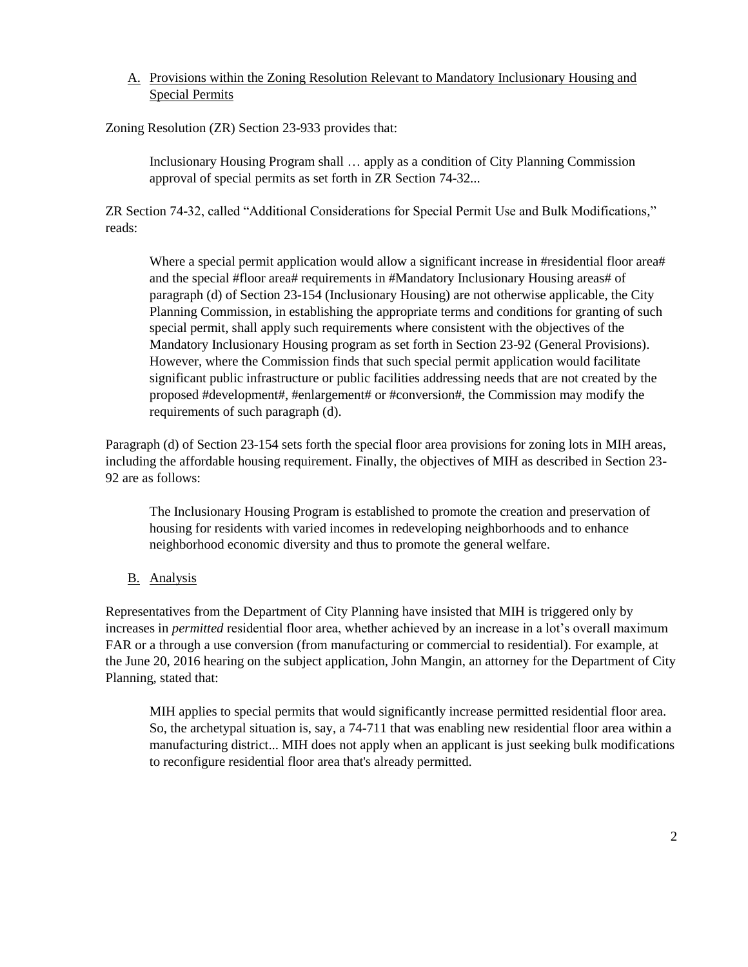#### A. Provisions within the Zoning Resolution Relevant to Mandatory Inclusionary Housing and Special Permits

Zoning Resolution (ZR) Section 23-933 provides that:

Inclusionary Housing Program shall … apply as a condition of City Planning Commission approval of special permits as set forth in ZR Section 74-32...

ZR Section 74-32, called "Additional Considerations for Special Permit Use and Bulk Modifications," reads:

Where a special permit application would allow a significant increase in #residential floor area# and the special #floor area# requirements in #Mandatory Inclusionary Housing areas# of paragraph (d) of Section 23-154 (Inclusionary Housing) are not otherwise applicable, the City Planning Commission, in establishing the appropriate terms and conditions for granting of such special permit, shall apply such requirements where consistent with the objectives of the Mandatory Inclusionary Housing program as set forth in Section 23-92 (General Provisions). However, where the Commission finds that such special permit application would facilitate significant public infrastructure or public facilities addressing needs that are not created by the proposed #development#, #enlargement# or #conversion#, the Commission may modify the requirements of such paragraph (d).

Paragraph (d) of Section 23-154 sets forth the special floor area provisions for zoning lots in MIH areas, including the affordable housing requirement. Finally, the objectives of MIH as described in Section 23- 92 are as follows:

The Inclusionary Housing Program is established to promote the creation and preservation of housing for residents with varied incomes in redeveloping neighborhoods and to enhance neighborhood economic diversity and thus to promote the general welfare.

B. Analysis

Representatives from the Department of City Planning have insisted that MIH is triggered only by increases in *permitted* residential floor area, whether achieved by an increase in a lot's overall maximum FAR or a through a use conversion (from manufacturing or commercial to residential). For example, at the June 20, 2016 hearing on the subject application, John Mangin, an attorney for the Department of City Planning, stated that:

MIH applies to special permits that would significantly increase permitted residential floor area. So, the archetypal situation is, say, a 74-711 that was enabling new residential floor area within a manufacturing district... MIH does not apply when an applicant is just seeking bulk modifications to reconfigure residential floor area that's already permitted.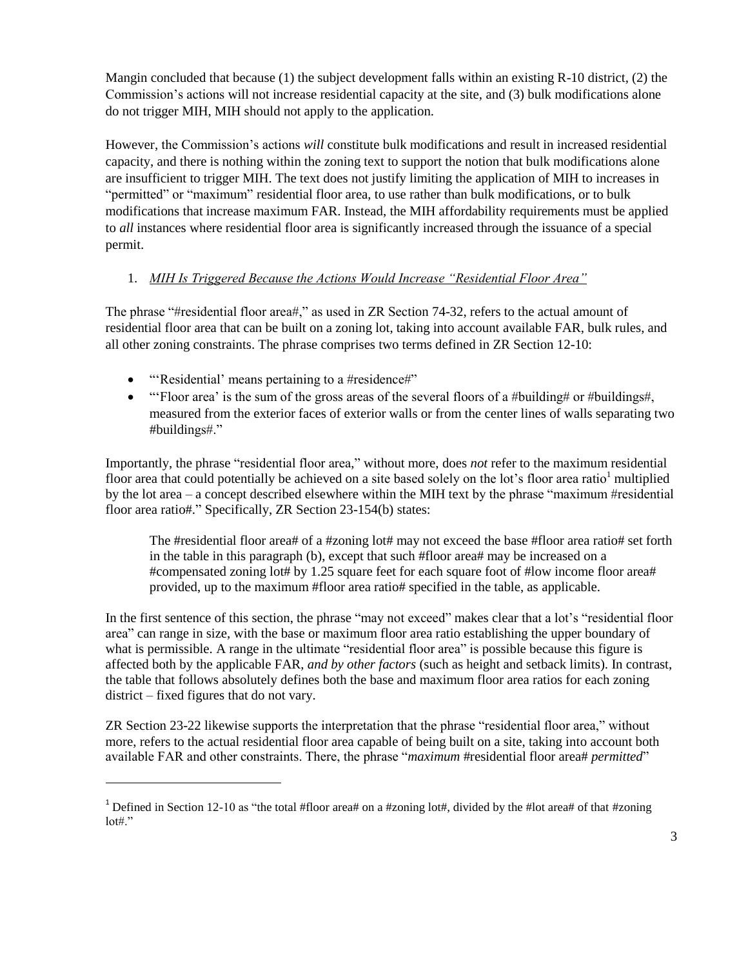Mangin concluded that because (1) the subject development falls within an existing  $R-10$  district, (2) the Commission's actions will not increase residential capacity at the site, and (3) bulk modifications alone do not trigger MIH, MIH should not apply to the application.

However, the Commission's actions *will* constitute bulk modifications and result in increased residential capacity, and there is nothing within the zoning text to support the notion that bulk modifications alone are insufficient to trigger MIH. The text does not justify limiting the application of MIH to increases in "permitted" or "maximum" residential floor area, to use rather than bulk modifications, or to bulk modifications that increase maximum FAR. Instead, the MIH affordability requirements must be applied to *all* instances where residential floor area is significantly increased through the issuance of a special permit.

#### 1. *MIH Is Triggered Because the Actions Would Increase "Residential Floor Area"*

The phrase "#residential floor area#," as used in ZR Section 74-32, refers to the actual amount of residential floor area that can be built on a zoning lot, taking into account available FAR, bulk rules, and all other zoning constraints. The phrase comprises two terms defined in ZR Section 12-10:

• "'Residential' means pertaining to a #residence#"

 $\overline{a}$ 

 "'Floor area' is the sum of the gross areas of the several floors of a #building# or #buildings#, measured from the exterior faces of exterior walls or from the center lines of walls separating two #buildings#."

Importantly, the phrase "residential floor area," without more, does *not* refer to the maximum residential floor area that could potentially be achieved on a site based solely on the lot's floor area ratio<sup>1</sup> multiplied by the lot area – a concept described elsewhere within the MIH text by the phrase "maximum #residential floor area ratio#." Specifically, ZR Section 23-154(b) states:

The #residential floor area# of a #zoning lot# may not exceed the base #floor area ratio# set forth in the table in this paragraph (b), except that such #floor area# may be increased on a #compensated zoning lot# by 1.25 square feet for each square foot of #low income floor area# provided, up to the maximum #floor area ratio# specified in the table, as applicable.

In the first sentence of this section, the phrase "may not exceed" makes clear that a lot's "residential floor area" can range in size, with the base or maximum floor area ratio establishing the upper boundary of what is permissible. A range in the ultimate "residential floor area" is possible because this figure is affected both by the applicable FAR, *and by other factors* (such as height and setback limits). In contrast, the table that follows absolutely defines both the base and maximum floor area ratios for each zoning district – fixed figures that do not vary.

ZR Section 23-22 likewise supports the interpretation that the phrase "residential floor area," without more, refers to the actual residential floor area capable of being built on a site, taking into account both available FAR and other constraints. There, the phrase "*maximum* #residential floor area# *permitted*"

<sup>&</sup>lt;sup>1</sup> Defined in Section 12-10 as "the total #floor area# on a #zoning lot#, divided by the #lot area# of that #zoning  $\text{lot#}$ ."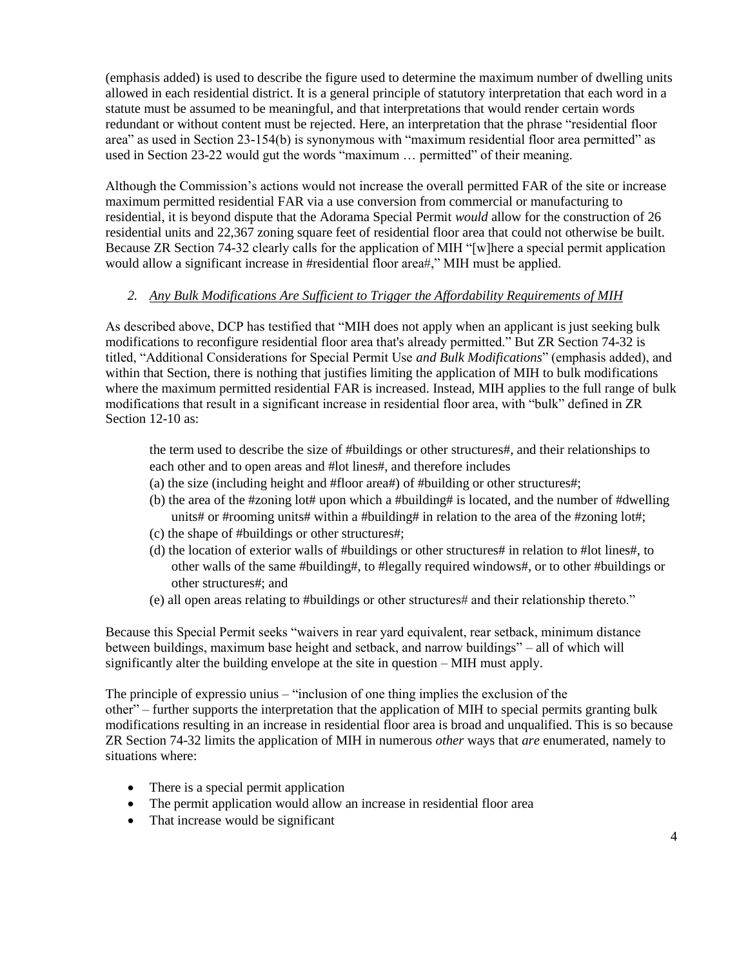(emphasis added) is used to describe the figure used to determine the maximum number of dwelling units allowed in each residential district. It is a general principle of statutory interpretation that each word in a statute must be assumed to be meaningful, and that interpretations that would render certain words redundant or without content must be rejected. Here, an interpretation that the phrase "residential floor area" as used in Section 23-154(b) is synonymous with "maximum residential floor area permitted" as used in Section 23-22 would gut the words "maximum … permitted" of their meaning.

Although the Commission's actions would not increase the overall permitted FAR of the site or increase maximum permitted residential FAR via a use conversion from commercial or manufacturing to residential, it is beyond dispute that the Adorama Special Permit *would* allow for the construction of 26 residential units and 22,367 zoning square feet of residential floor area that could not otherwise be built. Because ZR Section 74-32 clearly calls for the application of MIH "[w]here a special permit application would allow a significant increase in #residential floor area#," MIH must be applied.

#### *2. Any Bulk Modifications Are Sufficient to Trigger the Affordability Requirements of MIH*

As described above, DCP has testified that "MIH does not apply when an applicant is just seeking bulk modifications to reconfigure residential floor area that's already permitted." But ZR Section 74-32 is titled, "Additional Considerations for Special Permit Use *and Bulk Modifications*" (emphasis added), and within that Section, there is nothing that justifies limiting the application of MIH to bulk modifications where the maximum permitted residential FAR is increased. Instead, MIH applies to the full range of bulk modifications that result in a significant increase in residential floor area, with "bulk" defined in ZR Section 12-10 as:

the term used to describe the size of #buildings or other structures#, and their relationships to each other and to open areas and #lot lines#, and therefore includes

- (a) the size (including height and #floor area#) of #building or other structures#;
- (b) the area of the #zoning lot# upon which a #building# is located, and the number of #dwelling units# or #rooming units# within a #building# in relation to the area of the #zoning lot#;
- (c) the shape of #buildings or other structures#;
- (d) the location of exterior walls of #buildings or other structures# in relation to #lot lines#, to other walls of the same #building#, to #legally required windows#, or to other #buildings or other structures#; and
- (e) all open areas relating to #buildings or other structures# and their relationship thereto."

Because this Special Permit seeks "waivers in rear yard equivalent, rear setback, minimum distance between buildings, maximum base height and setback, and narrow buildings" – all of which will significantly alter the building envelope at the site in question – MIH must apply.

The principle of expressio unius – "inclusion of one thing implies the exclusion of the other" – further supports the interpretation that the application of MIH to special permits granting bulk modifications resulting in an increase in residential floor area is broad and unqualified. This is so because ZR Section 74-32 limits the application of MIH in numerous *other* ways that *are* enumerated, namely to situations where:

- There is a special permit application
- The permit application would allow an increase in residential floor area
- That increase would be significant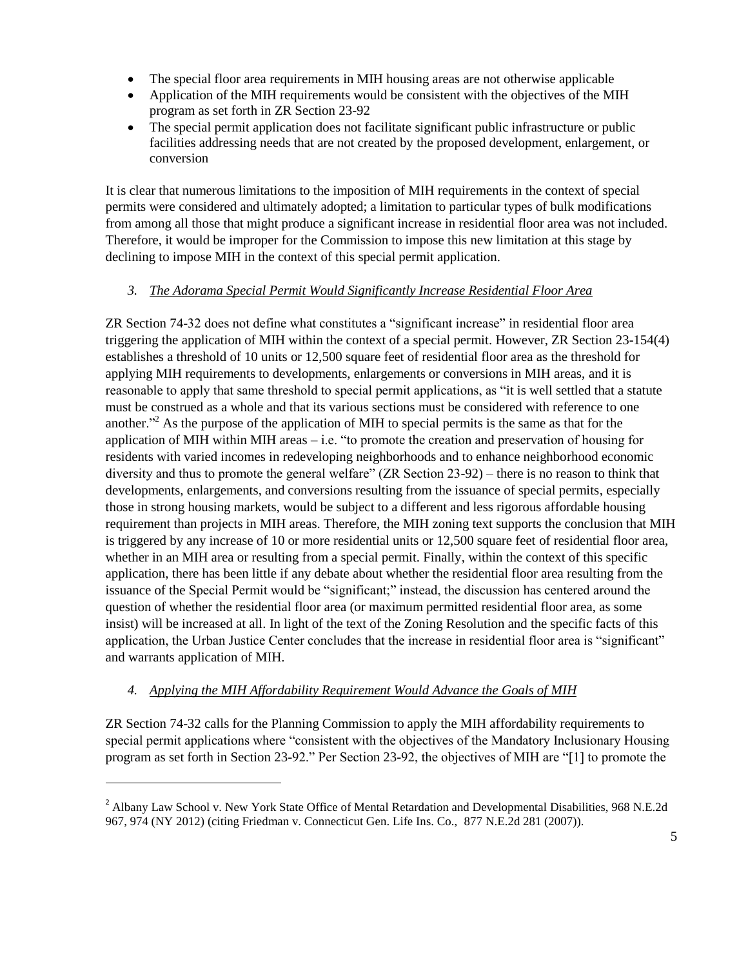- The special floor area requirements in MIH housing areas are not otherwise applicable
- Application of the MIH requirements would be consistent with the objectives of the MIH program as set forth in ZR Section 23-92
- The special permit application does not facilitate significant public infrastructure or public facilities addressing needs that are not created by the proposed development, enlargement, or conversion

It is clear that numerous limitations to the imposition of MIH requirements in the context of special permits were considered and ultimately adopted; a limitation to particular types of bulk modifications from among all those that might produce a significant increase in residential floor area was not included. Therefore, it would be improper for the Commission to impose this new limitation at this stage by declining to impose MIH in the context of this special permit application.

#### *3. The Adorama Special Permit Would Significantly Increase Residential Floor Area*

ZR Section 74-32 does not define what constitutes a "significant increase" in residential floor area triggering the application of MIH within the context of a special permit. However, ZR Section 23-154(4) establishes a threshold of 10 units or 12,500 square feet of residential floor area as the threshold for applying MIH requirements to developments, enlargements or conversions in MIH areas, and it is reasonable to apply that same threshold to special permit applications, as "it is well settled that a statute must be construed as a whole and that its various sections must be considered with reference to one another."<sup>2</sup> As the purpose of the application of MIH to special permits is the same as that for the application of MIH within MIH areas – i.e. "to promote the creation and preservation of housing for residents with varied incomes in redeveloping neighborhoods and to enhance neighborhood economic diversity and thus to promote the general welfare" (ZR Section 23-92) – there is no reason to think that developments, enlargements, and conversions resulting from the issuance of special permits, especially those in strong housing markets, would be subject to a different and less rigorous affordable housing requirement than projects in MIH areas. Therefore, the MIH zoning text supports the conclusion that MIH is triggered by any increase of 10 or more residential units or 12,500 square feet of residential floor area, whether in an MIH area or resulting from a special permit. Finally, within the context of this specific application, there has been little if any debate about whether the residential floor area resulting from the issuance of the Special Permit would be "significant;" instead, the discussion has centered around the question of whether the residential floor area (or maximum permitted residential floor area, as some insist) will be increased at all. In light of the text of the Zoning Resolution and the specific facts of this application, the Urban Justice Center concludes that the increase in residential floor area is "significant" and warrants application of MIH.

## *4. Applying the MIH Affordability Requirement Would Advance the Goals of MIH*

 $\overline{a}$ 

ZR Section 74-32 calls for the Planning Commission to apply the MIH affordability requirements to special permit applications where "consistent with the objectives of the Mandatory Inclusionary Housing program as set forth in Section 23-92." Per Section 23-92, the objectives of MIH are "[1] to promote the

<sup>&</sup>lt;sup>2</sup> Albany Law School v. New York State Office of Mental Retardation and Developmental Disabilities, 968 N.E.2d 967, 974 (NY 2012) (citing Friedman v. Connecticut Gen. Life Ins. Co., 877 N.E.2d 281 (2007)).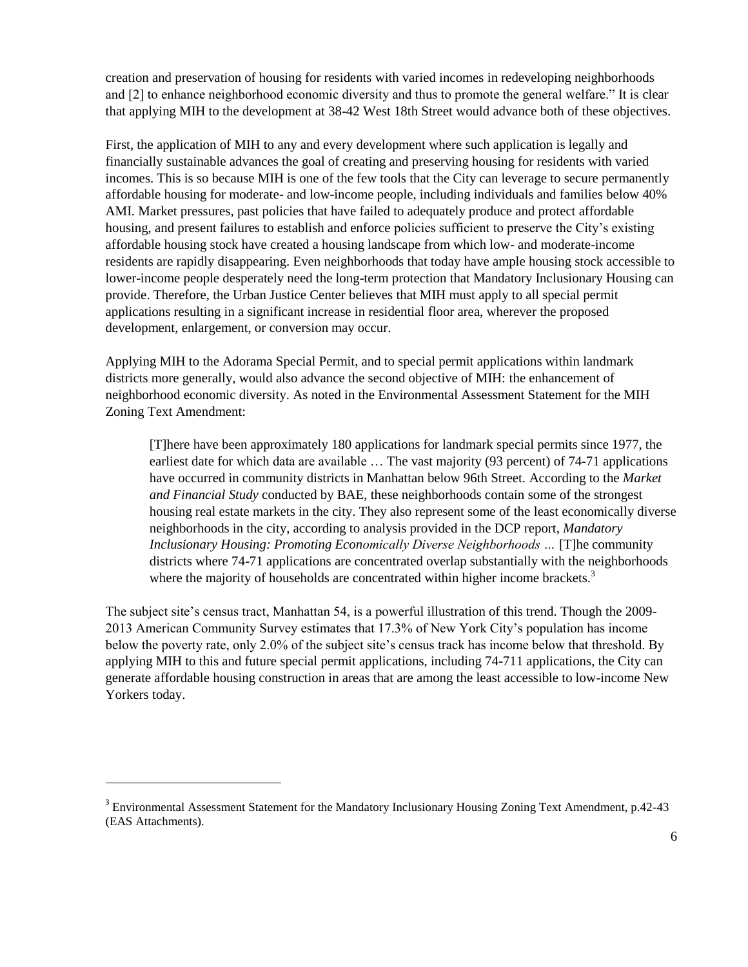creation and preservation of housing for residents with varied incomes in redeveloping neighborhoods and [2] to enhance neighborhood economic diversity and thus to promote the general welfare." It is clear that applying MIH to the development at 38-42 West 18th Street would advance both of these objectives.

First, the application of MIH to any and every development where such application is legally and financially sustainable advances the goal of creating and preserving housing for residents with varied incomes. This is so because MIH is one of the few tools that the City can leverage to secure permanently affordable housing for moderate- and low-income people, including individuals and families below 40% AMI. Market pressures, past policies that have failed to adequately produce and protect affordable housing, and present failures to establish and enforce policies sufficient to preserve the City's existing affordable housing stock have created a housing landscape from which low- and moderate-income residents are rapidly disappearing. Even neighborhoods that today have ample housing stock accessible to lower-income people desperately need the long-term protection that Mandatory Inclusionary Housing can provide. Therefore, the Urban Justice Center believes that MIH must apply to all special permit applications resulting in a significant increase in residential floor area, wherever the proposed development, enlargement, or conversion may occur.

Applying MIH to the Adorama Special Permit, and to special permit applications within landmark districts more generally, would also advance the second objective of MIH: the enhancement of neighborhood economic diversity. As noted in the Environmental Assessment Statement for the MIH Zoning Text Amendment:

[T]here have been approximately 180 applications for landmark special permits since 1977, the earliest date for which data are available … The vast majority (93 percent) of 74-71 applications have occurred in community districts in Manhattan below 96th Street. According to the *Market and Financial Study* conducted by BAE, these neighborhoods contain some of the strongest housing real estate markets in the city. They also represent some of the least economically diverse neighborhoods in the city, according to analysis provided in the DCP report, *Mandatory Inclusionary Housing: Promoting Economically Diverse Neighborhoods …* [T]he community districts where 74-71 applications are concentrated overlap substantially with the neighborhoods where the majority of households are concentrated within higher income brackets.<sup>3</sup>

The subject site's census tract, Manhattan 54, is a powerful illustration of this trend. Though the 2009- 2013 American Community Survey estimates that 17.3% of New York City's population has income below the poverty rate, only 2.0% of the subject site's census track has income below that threshold. By applying MIH to this and future special permit applications, including 74-711 applications, the City can generate affordable housing construction in areas that are among the least accessible to low-income New Yorkers today.

 $\overline{a}$ 

<sup>&</sup>lt;sup>3</sup> Environmental Assessment Statement for the Mandatory Inclusionary Housing Zoning Text Amendment, p.42-43 (EAS Attachments).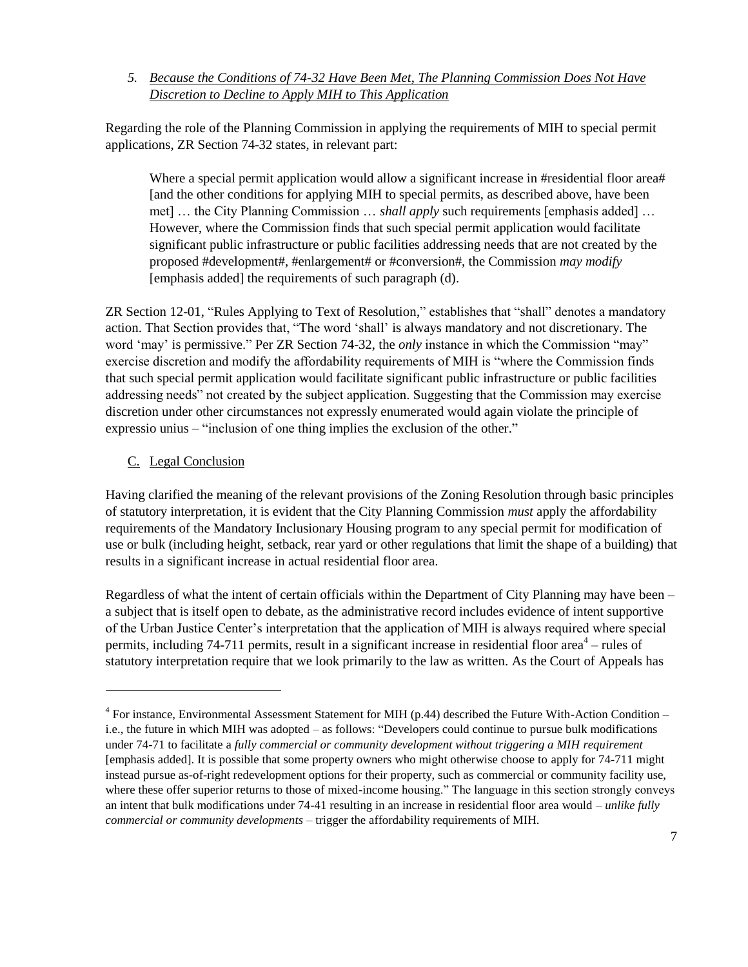*5. Because the Conditions of 74-32 Have Been Met, The Planning Commission Does Not Have Discretion to Decline to Apply MIH to This Application*

Regarding the role of the Planning Commission in applying the requirements of MIH to special permit applications, ZR Section 74-32 states, in relevant part:

Where a special permit application would allow a significant increase in #residential floor area# [and the other conditions for applying MIH to special permits, as described above, have been met] … the City Planning Commission … *shall apply* such requirements [emphasis added] … However, where the Commission finds that such special permit application would facilitate significant public infrastructure or public facilities addressing needs that are not created by the proposed #development#, #enlargement# or #conversion#, the Commission *may modify* [emphasis added] the requirements of such paragraph (d).

ZR Section 12-01, "Rules Applying to Text of Resolution," establishes that "shall" denotes a mandatory action. That Section provides that, "The word 'shall' is always mandatory and not discretionary. The word 'may' is permissive." Per ZR Section 74-32, the *only* instance in which the Commission "may" exercise discretion and modify the affordability requirements of MIH is "where the Commission finds that such special permit application would facilitate significant public infrastructure or public facilities addressing needs" not created by the subject application. Suggesting that the Commission may exercise discretion under other circumstances not expressly enumerated would again violate the principle of expressio unius – "inclusion of one thing implies the exclusion of the other."

### C. Legal Conclusion

 $\overline{a}$ 

Having clarified the meaning of the relevant provisions of the Zoning Resolution through basic principles of statutory interpretation, it is evident that the City Planning Commission *must* apply the affordability requirements of the Mandatory Inclusionary Housing program to any special permit for modification of use or bulk (including height, setback, rear yard or other regulations that limit the shape of a building) that results in a significant increase in actual residential floor area.

Regardless of what the intent of certain officials within the Department of City Planning may have been – a subject that is itself open to debate, as the administrative record includes evidence of intent supportive of the Urban Justice Center's interpretation that the application of MIH is always required where special permits, including 74-711 permits, result in a significant increase in residential floor area<sup>4</sup> – rules of statutory interpretation require that we look primarily to the law as written. As the Court of Appeals has

 $4$  For instance, Environmental Assessment Statement for MIH (p.44) described the Future With-Action Condition – i.e., the future in which MIH was adopted – as follows: "Developers could continue to pursue bulk modifications under 74-71 to facilitate a *fully commercial or community development without triggering a MIH requirement*  [emphasis added]. It is possible that some property owners who might otherwise choose to apply for 74-711 might instead pursue as-of-right redevelopment options for their property, such as commercial or community facility use, where these offer superior returns to those of mixed-income housing." The language in this section strongly conveys an intent that bulk modifications under 74-41 resulting in an increase in residential floor area would – *unlike fully commercial or community developments* – trigger the affordability requirements of MIH.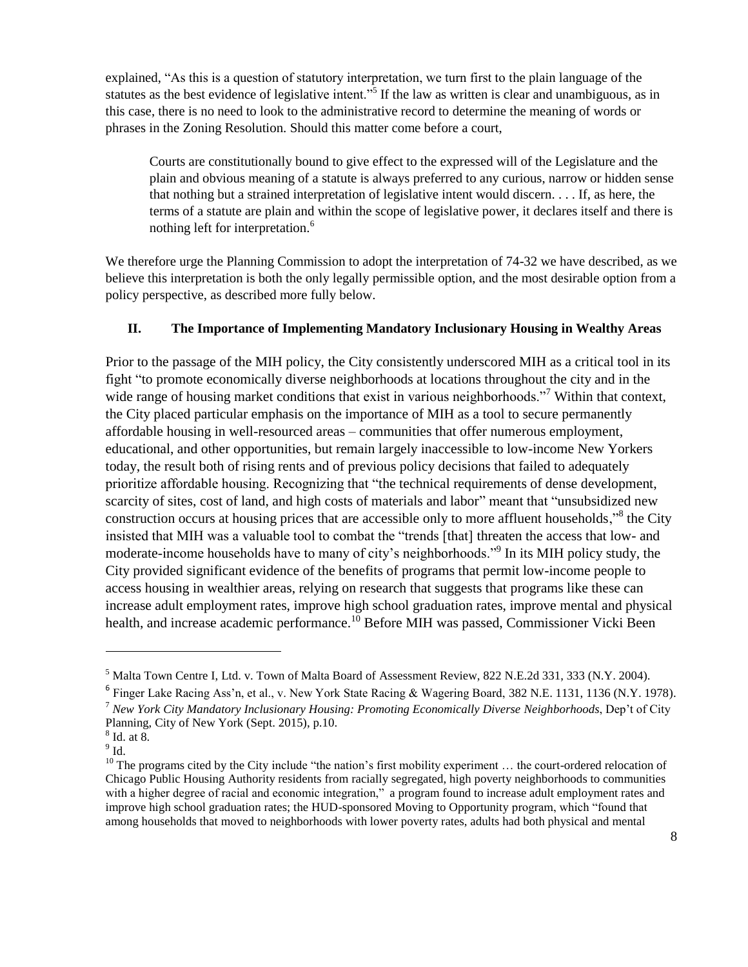explained, "As this is a question of statutory interpretation, we turn first to the plain language of the statutes as the best evidence of legislative intent."<sup>5</sup> If the law as written is clear and unambiguous, as in this case, there is no need to look to the administrative record to determine the meaning of words or phrases in the Zoning Resolution. Should this matter come before a court,

Courts are constitutionally bound to give effect to the expressed will of the Legislature and the plain and obvious meaning of a statute is always preferred to any curious, narrow or hidden sense that nothing but a strained interpretation of legislative intent would discern. . . . If, as here, the terms of a statute are plain and within the scope of legislative power, it declares itself and there is nothing left for interpretation.<sup>6</sup>

We therefore urge the Planning Commission to adopt the interpretation of 74-32 we have described, as we believe this interpretation is both the only legally permissible option, and the most desirable option from a policy perspective, as described more fully below.

#### **II. The Importance of Implementing Mandatory Inclusionary Housing in Wealthy Areas**

Prior to the passage of the MIH policy, the City consistently underscored MIH as a critical tool in its fight "to promote economically diverse neighborhoods at locations throughout the city and in the wide range of housing market conditions that exist in various neighborhoods."<sup>7</sup> Within that context, the City placed particular emphasis on the importance of MIH as a tool to secure permanently affordable housing in well-resourced areas – communities that offer numerous employment, educational, and other opportunities, but remain largely inaccessible to low-income New Yorkers today, the result both of rising rents and of previous policy decisions that failed to adequately prioritize affordable housing. Recognizing that "the technical requirements of dense development, scarcity of sites, cost of land, and high costs of materials and labor" meant that "unsubsidized new construction occurs at housing prices that are accessible only to more affluent households,"<sup>8</sup> the City insisted that MIH was a valuable tool to combat the "trends [that] threaten the access that low- and moderate-income households have to many of city's neighborhoods."<sup>9</sup> In its MIH policy study, the City provided significant evidence of the benefits of programs that permit low-income people to access housing in wealthier areas, relying on research that suggests that programs like these can increase adult employment rates, improve high school graduation rates, improve mental and physical health, and increase academic performance.<sup>10</sup> Before MIH was passed, Commissioner Vicki Been

 $\overline{a}$ 

<sup>5</sup> Malta Town Centre I, Ltd. v. Town of Malta Board of Assessment Review, 822 N.E.2d 331, 333 (N.Y. 2004).

<sup>&</sup>lt;sup>6</sup> Finger Lake Racing Ass'n, et al., v. New York State Racing & Wagering Board, 382 N.E. 1131, 1136 (N.Y. 1978).

<sup>7</sup> *New York City Mandatory Inclusionary Housing: Promoting Economically Diverse Neighborhoods*, Dep't of City Planning, City of New York (Sept. 2015), p.10.

<sup>8</sup> Id. at 8.

 $^9$  Id.

 $10$  The programs cited by the City include "the nation's first mobility experiment  $\dots$  the court-ordered relocation of Chicago Public Housing Authority residents from racially segregated, high poverty neighborhoods to communities with a higher degree of racial and economic integration," a program found to increase adult employment rates and improve high school graduation rates; the HUD-sponsored Moving to Opportunity program, which "found that among households that moved to neighborhoods with lower poverty rates, adults had both physical and mental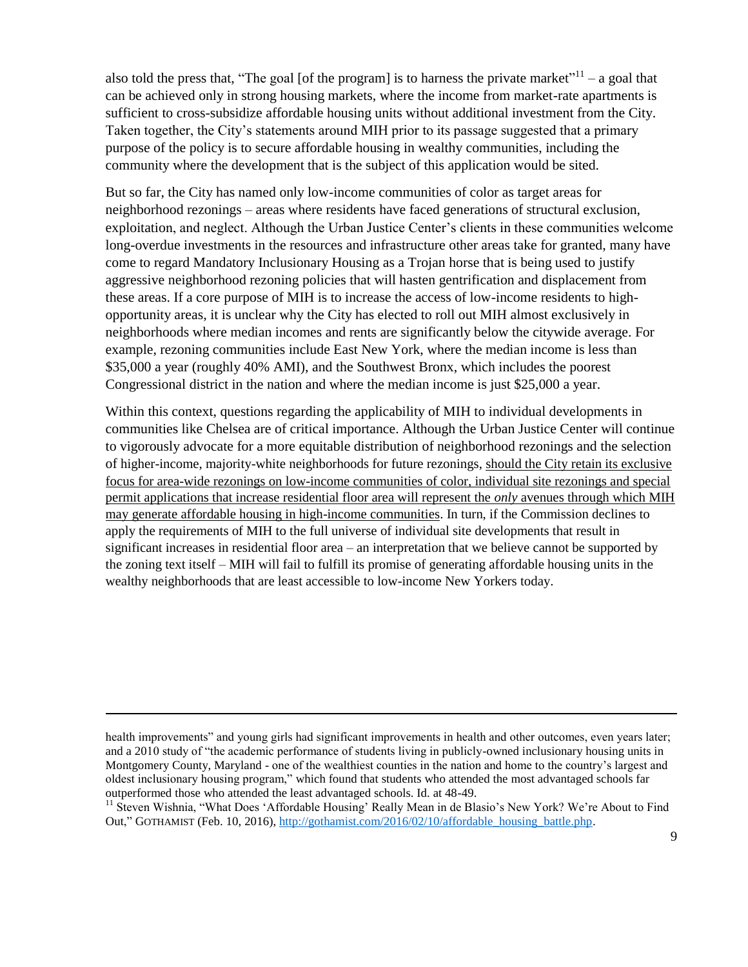also told the press that, "The goal [of the program] is to harness the private market"<sup>11</sup> – a goal that can be achieved only in strong housing markets, where the income from market-rate apartments is sufficient to cross-subsidize affordable housing units without additional investment from the City. Taken together, the City's statements around MIH prior to its passage suggested that a primary purpose of the policy is to secure affordable housing in wealthy communities, including the community where the development that is the subject of this application would be sited.

But so far, the City has named only low-income communities of color as target areas for neighborhood rezonings – areas where residents have faced generations of structural exclusion, exploitation, and neglect. Although the Urban Justice Center's clients in these communities welcome long-overdue investments in the resources and infrastructure other areas take for granted, many have come to regard Mandatory Inclusionary Housing as a Trojan horse that is being used to justify aggressive neighborhood rezoning policies that will hasten gentrification and displacement from these areas. If a core purpose of MIH is to increase the access of low-income residents to highopportunity areas, it is unclear why the City has elected to roll out MIH almost exclusively in neighborhoods where median incomes and rents are significantly below the citywide average. For example, rezoning communities include East New York, where the median income is less than \$35,000 a year (roughly 40% AMI), and the Southwest Bronx, which includes the poorest Congressional district in the nation and where the median income is just \$25,000 a year.

Within this context, questions regarding the applicability of MIH to individual developments in communities like Chelsea are of critical importance. Although the Urban Justice Center will continue to vigorously advocate for a more equitable distribution of neighborhood rezonings and the selection of higher-income, majority-white neighborhoods for future rezonings, should the City retain its exclusive focus for area-wide rezonings on low-income communities of color, individual site rezonings and special permit applications that increase residential floor area will represent the *only* avenues through which MIH may generate affordable housing in high-income communities. In turn, if the Commission declines to apply the requirements of MIH to the full universe of individual site developments that result in significant increases in residential floor area – an interpretation that we believe cannot be supported by the zoning text itself – MIH will fail to fulfill its promise of generating affordable housing units in the wealthy neighborhoods that are least accessible to low-income New Yorkers today.

 $\overline{a}$ 

health improvements" and young girls had significant improvements in health and other outcomes, even years later; and a 2010 study of "the academic performance of students living in publicly-owned inclusionary housing units in Montgomery County, Maryland - one of the wealthiest counties in the nation and home to the country's largest and oldest inclusionary housing program," which found that students who attended the most advantaged schools far outperformed those who attended the least advantaged schools. Id. at 48-49.

<sup>&</sup>lt;sup>11</sup> Steven Wishnia, "What Does 'Affordable Housing' Really Mean in de Blasio's New York? We're About to Find Out," GOTHAMIST (Feb. 10, 2016)[, http://gothamist.com/2016/02/10/affordable\\_housing\\_battle.php.](http://gothamist.com/2016/02/10/affordable_housing_battle.php)